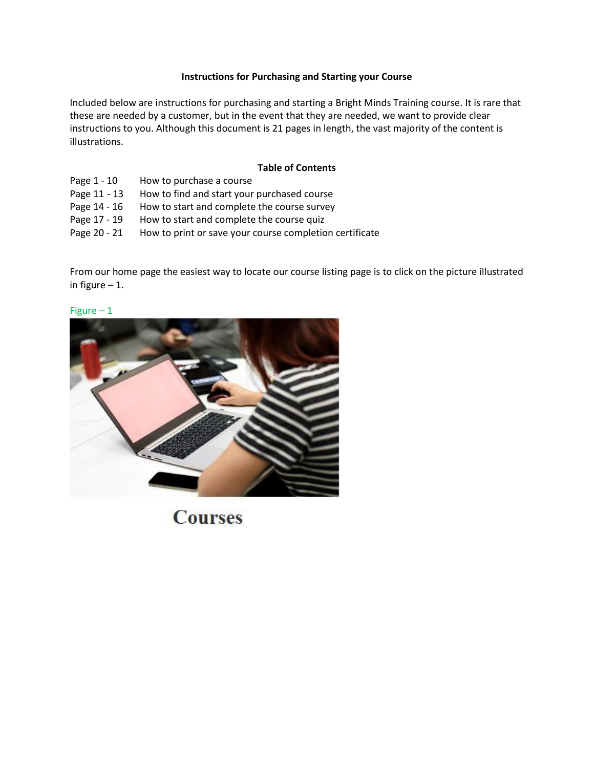### **Instructions for Purchasing and Starting your Course**

Included below are instructions for purchasing and starting a Bright Minds Training course. It is rare that these are needed by a customer, but in the event that they are needed, we want to provide clear instructions to you. Although this document is 21 pages in length, the vast majority of the content is illustrations.

### **Table of Contents**

- Page 1 10 How to purchase a course
- Page 11 13 How to find and start your purchased course
- Page 14 16 How to start and complete the course survey
- Page 17 19 How to start and complete the course quiz
- Page 20 21 How to print or save your course completion certificate

From our home page the easiest way to locate our course listing page is to click on the picture illustrated in figure  $-1$ .



## Figure – 1

**Courses**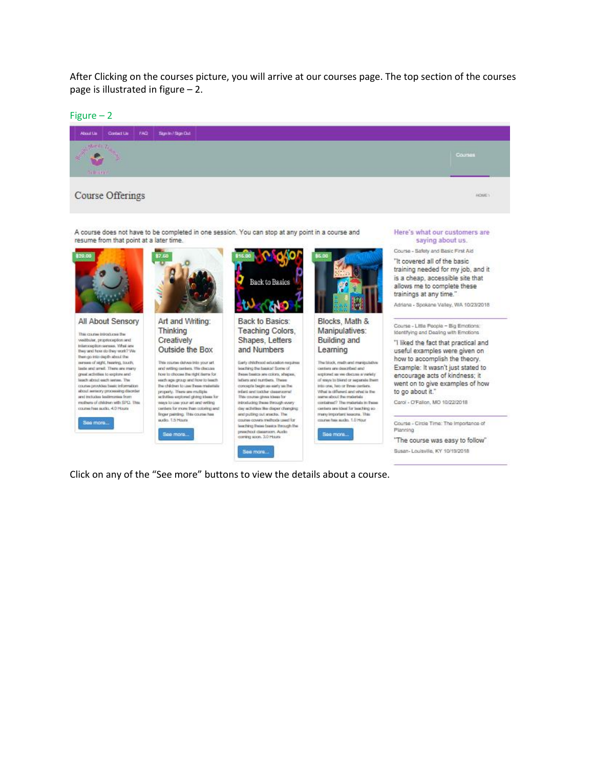After Clicking on the courses picture, you will arrive at our courses page. The top section of the courses page is illustrated in figure – 2.

Figure – 2



Click on any of the "See more" buttons to view the details about a course.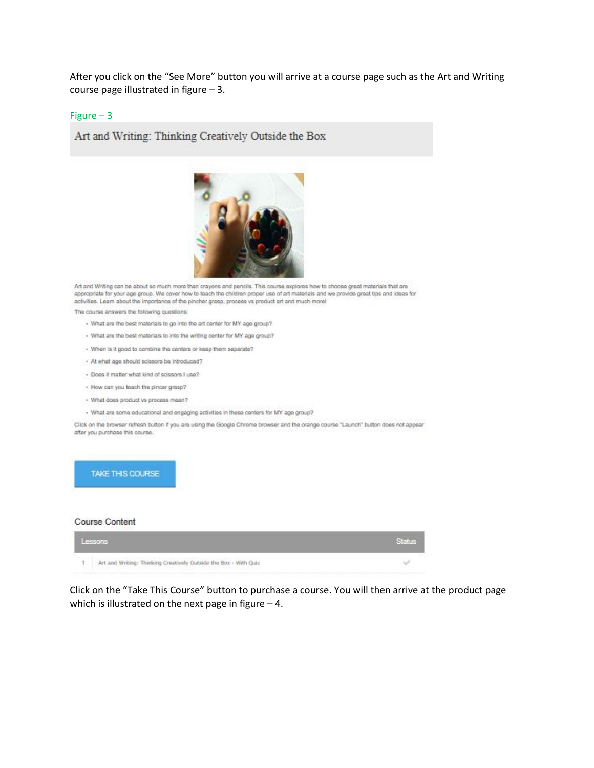After you click on the "See More" button you will arrive at a course page such as the Art and Writing course page illustrated in figure – 3.

#### Figure – 3

Art and Writing: Thinking Creatively Outside the Box



Art and Writing can be about so much more than crayons and pencils. This course explores how to choose great materials that are appropriate for your age group. We cover how to teach the children proper use of art materials and we provide great tips and ideas for activities. Learn about the importance of the pincher grasp, process vs product art and much more!

The course answers the following questions:

- . What are the best materials to go into the art center for MY age group?
- What are the best materials to into the writing center for MY age group?
- When is it good to combine the centers or keep them separate?
- At what age should scissors be introduced?
- Does it matter what kind of scissors I use?
- How can you teach the pincer grasp?
- What does product vs process mean?
- · What are some educational and engaging activities in these centers for MY age group?

Click on the browser refresh button if you are using the Google Chrome browser and the orange course "Launch" button does not appear after you purchase this course.

#### TAKE THIS COURSE

#### Course Content



Click on the "Take This Course" button to purchase a course. You will then arrive at the product page which is illustrated on the next page in figure  $-4$ .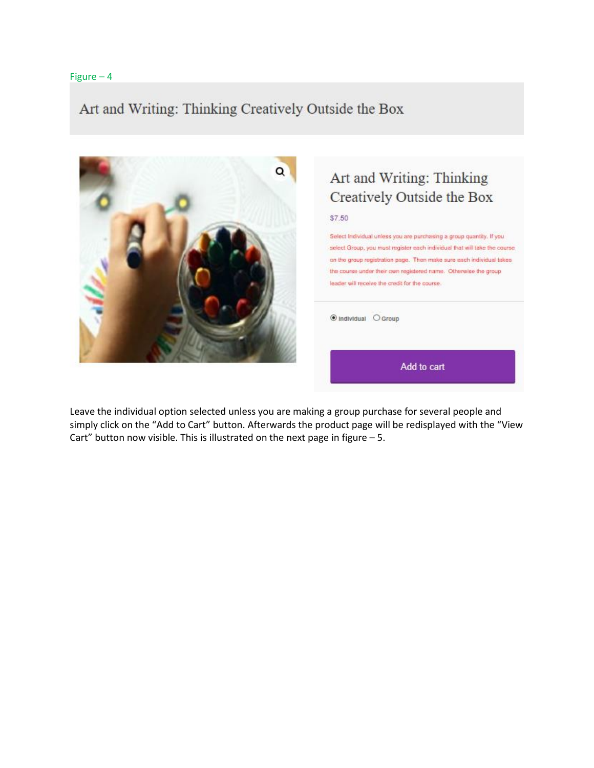## Art and Writing: Thinking Creatively Outside the Box



# Art and Writing: Thinking Creatively Outside the Box

\$7.50

Select Individual unless you are purchasing a group quantity. If you select Group, you must register each individual that will take the course. on the group registration page. Then make sure each individual takes the course under their own registered name. Otherwise the group leader will receive the credit for the course.

Tindividual O Group

Add to cart

Leave the individual option selected unless you are making a group purchase for several people and simply click on the "Add to Cart" button. Afterwards the product page will be redisplayed with the "View Cart" button now visible. This is illustrated on the next page in figure  $-5$ .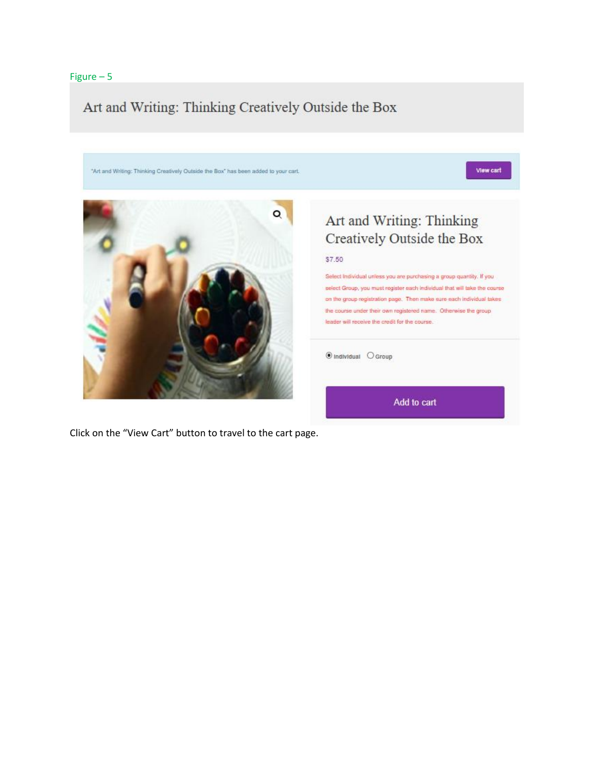## Art and Writing: Thinking Creatively Outside the Box



Click on the "View Cart" button to travel to the cart page.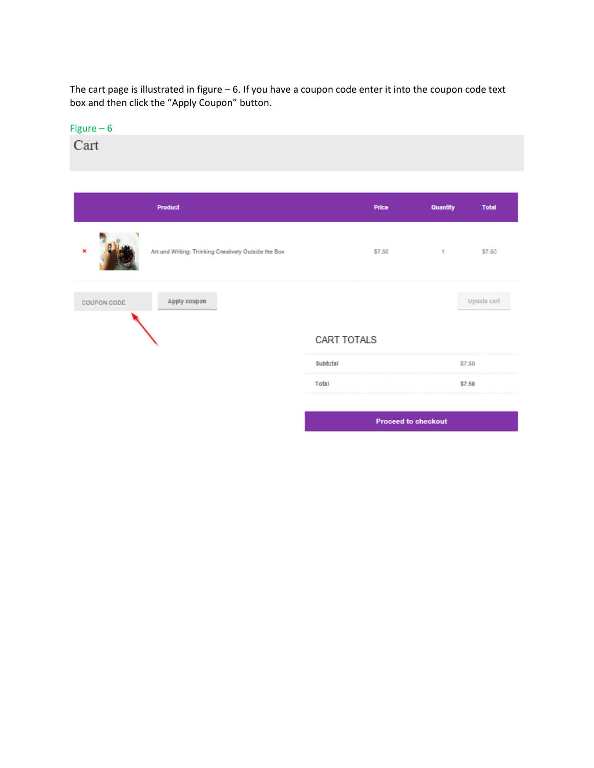The cart page is illustrated in figure – 6. If you have a coupon code enter it into the coupon code text box and then click the "Apply Coupon" button.

| Figure $-6$                |                                                      |                    |              |              |
|----------------------------|------------------------------------------------------|--------------------|--------------|--------------|
| Cart                       |                                                      |                    |              |              |
|                            | <b>Product</b>                                       | Price              | Quantity     | <b>Total</b> |
|                            |                                                      |                    |              |              |
| ×                          | Art and Writing: Thinking Creatively Outside the Box | \$7.50             | $\mathbf{1}$ | \$7.50       |
| COUPON CODE                | Apply coupon                                         |                    |              | Update cart  |
|                            |                                                      | <b>CART TOTALS</b> |              |              |
|                            |                                                      | Subtotal           |              | \$7.50       |
|                            |                                                      | Total              |              | \$7.50       |
|                            |                                                      |                    |              |              |
| <b>Proceed to checkout</b> |                                                      |                    |              |              |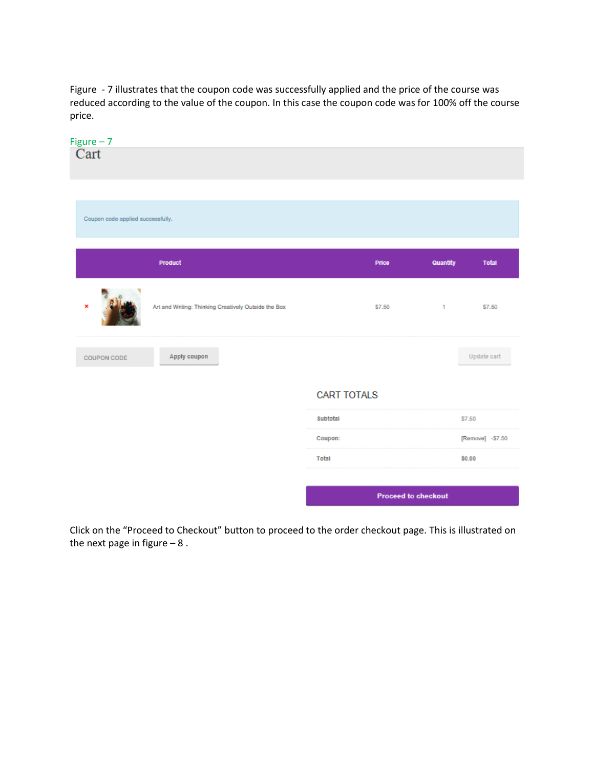Figure - 7 illustrates that the coupon code was successfully applied and the price of the course was reduced according to the value of the coupon. In this case the coupon code was for 100% off the course price.



Click on the "Proceed to Checkout" button to proceed to the order checkout page. This is illustrated on the next page in figure  $-8$ .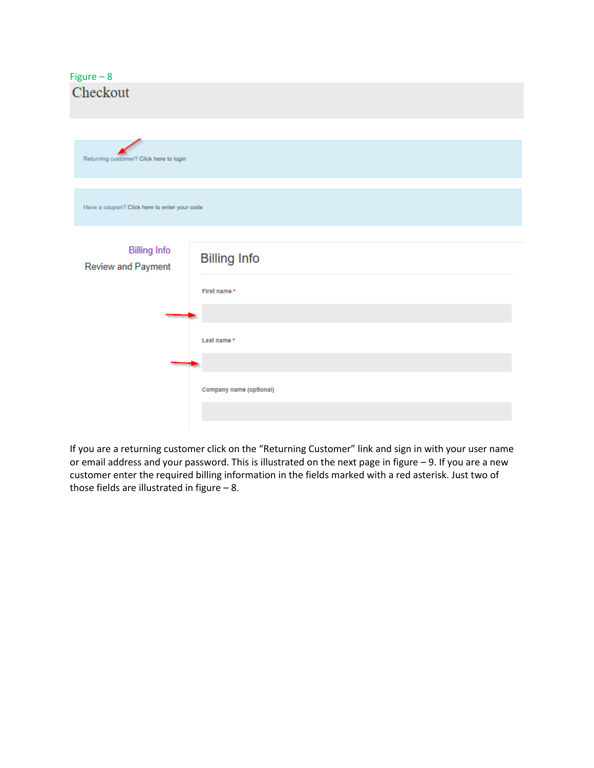## Figure – 8 Checkout

| Returning customer? Click here to login      |                         |
|----------------------------------------------|-------------------------|
|                                              |                         |
| Have a coupon? Click here to enter your code |                         |
|                                              |                         |
| <b>Billing Info</b><br>Review and Payment    | <b>Billing Info</b>     |
|                                              | First name*             |
|                                              |                         |
|                                              | Last name *             |
|                                              |                         |
|                                              | Company name (optional) |
|                                              |                         |
|                                              |                         |

If you are a returning customer click on the "Returning Customer" link and sign in with your user name or email address and your password. This is illustrated on the next page in figure – 9. If you are a new customer enter the required billing information in the fields marked with a red asterisk. Just two of those fields are illustrated in figure – 8.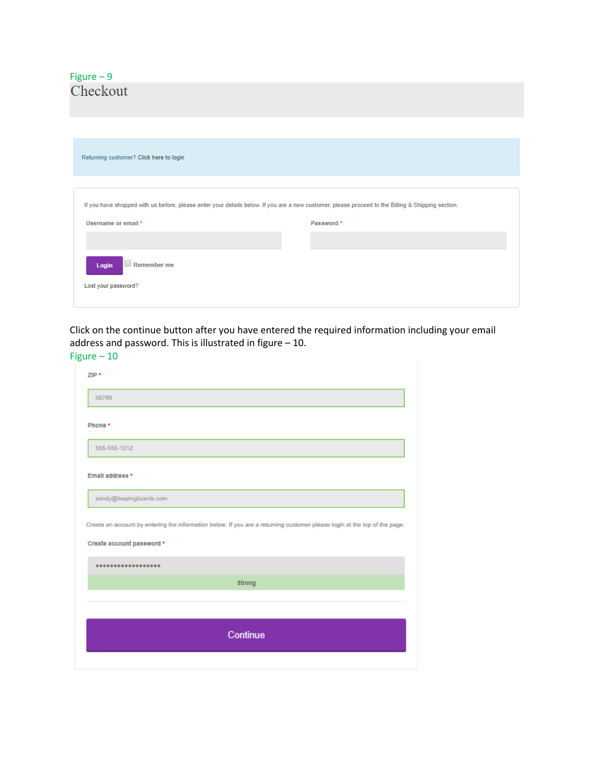| Returning customer? Click here to login                                                                                                           |            |
|---------------------------------------------------------------------------------------------------------------------------------------------------|------------|
| If you have shopped with us before, please enter your details below. If you are a new customer, please proceed to the Billing & Shipping section. |            |
| Username or email *                                                                                                                               | Password * |
| $\Box$ Remember me<br>Login<br>Lost your password?                                                                                                |            |
|                                                                                                                                                   |            |

Click on the continue button after you have entered the required information including your email address and password. This is illustrated in figure – 10. Figure – 10

| 56789                     |                                                                                                                           |
|---------------------------|---------------------------------------------------------------------------------------------------------------------------|
| Phone *                   |                                                                                                                           |
| 555-555-1212              |                                                                                                                           |
| Email address *           |                                                                                                                           |
| sandy@leapinglizards.com  |                                                                                                                           |
|                           |                                                                                                                           |
|                           |                                                                                                                           |
|                           | Create an account by entering the information below. If you are a returning customer please login at the top of the page. |
| Create account password * | Strong                                                                                                                    |
|                           |                                                                                                                           |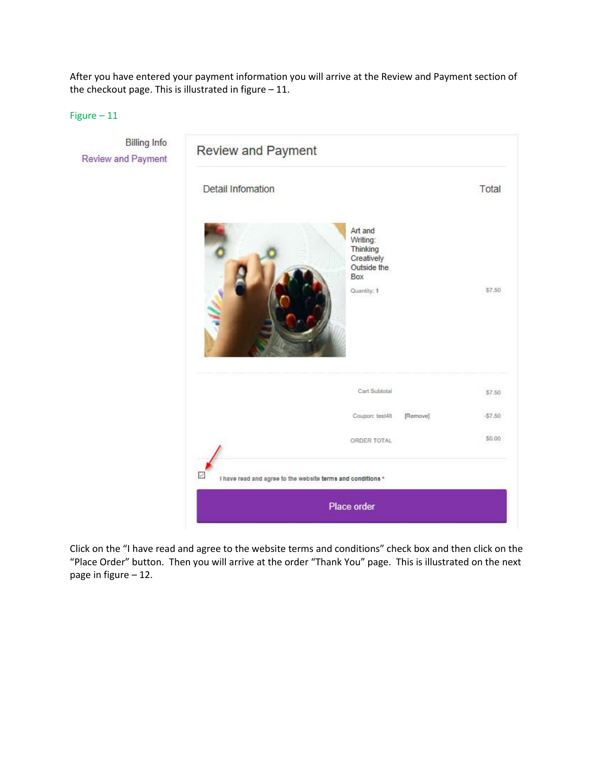After you have entered your payment information you will arrive at the Review and Payment section of the checkout page. This is illustrated in figure – 11.

Figure – 11



Click on the "I have read and agree to the website terms and conditions" check box and then click on the "Place Order" button. Then you will arrive at the order "Thank You" page. This is illustrated on the next page in figure – 12.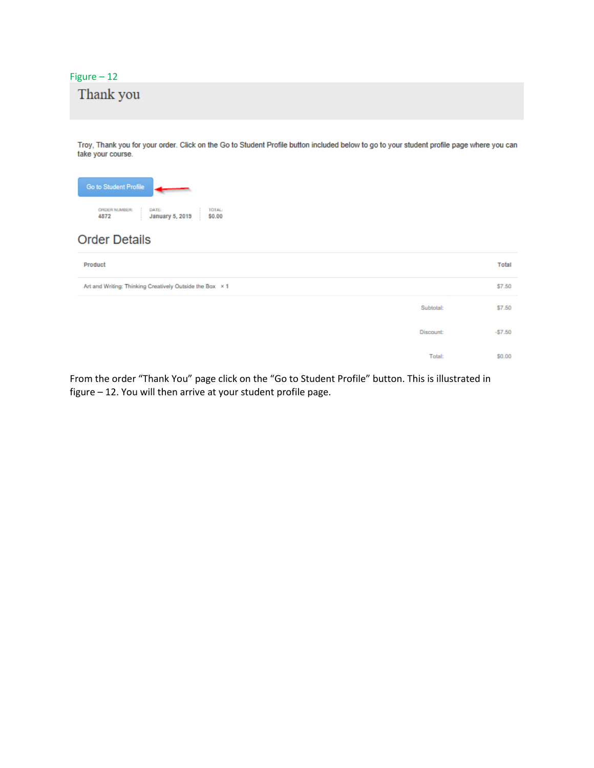# Thank you

Troy, Thank you for your order. Click on the Go to Student Profile button included below to go to your student profile page where you can take your course.

| <b>Go to Student Profile</b> |                        |        |
|------------------------------|------------------------|--------|
| <b>ORDER NUMBER:</b>         | DATE                   | TOTAL: |
| 4872                         | <b>January 5, 2019</b> | \$0.00 |

### **Order Details**

| Product                                                  | Total    |
|----------------------------------------------------------|----------|
| Art and Writing: Thinking Creatively Outside the Box x 1 | \$7.50   |
| Subtotal:                                                | \$7.50   |
| <b>Discount:</b>                                         | $-57.50$ |
| Total                                                    | 60.OO    |

From the order "Thank You" page click on the "Go to Student Profile" button. This is illustrated in figure – 12. You will then arrive at your student profile page.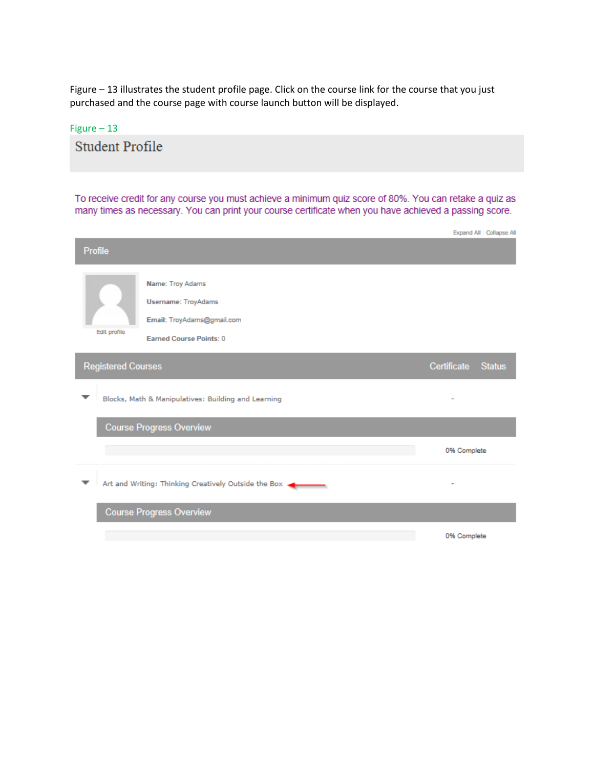Figure – 13 illustrates the student profile page. Click on the course link for the course that you just purchased and the course page with course launch button will be displayed.

### Figure – 13

**Student Profile** 

To receive credit for any course you must achieve a minimum quiz score of 80%. You can retake a quiz as many times as necessary. You can print your course certificate when you have achieved a passing score.

|                           |                                                                                                                |                    | Expand All Collapse Al |
|---------------------------|----------------------------------------------------------------------------------------------------------------|--------------------|------------------------|
| <b>Profile</b>            |                                                                                                                |                    |                        |
| Edit profile              | Name: Troy Adams<br><b>Username: TroyAdams</b><br>Email: TroyAdams@gmail.com<br><b>Earned Course Points: 0</b> |                    |                        |
| <b>Registered Courses</b> |                                                                                                                | Certificate Status |                        |
|                           | Blocks, Math & Manipulatives: Building and Learning                                                            |                    |                        |
|                           | <b>Course Progress Overview</b>                                                                                |                    |                        |
|                           |                                                                                                                | 0% Complete        |                        |
|                           | Art and Writing: Thinking Creatively Outside the Box +                                                         |                    |                        |
|                           | <b>Course Progress Overview</b>                                                                                |                    |                        |
|                           |                                                                                                                | 0% Complete        |                        |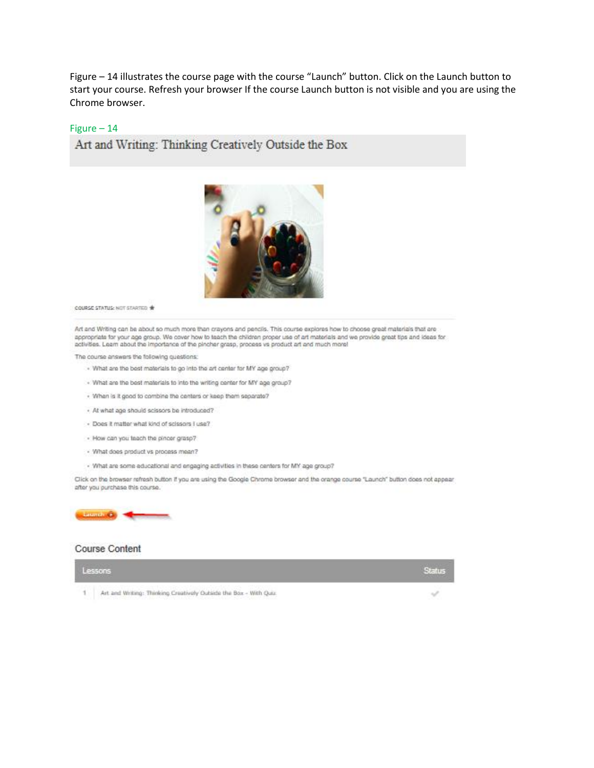Figure – 14 illustrates the course page with the course "Launch" button. Click on the Launch button to start your course. Refresh your browser If the course Launch button is not visible and you are using the Chrome browser.

### Figure – 14

Art and Writing: Thinking Creatively Outside the Box



COURSE STATUS: NOT STARTED \*

Art and Writing can be about so much more than crayons and pencils. This course explores how to choose great materials that are appropriate for your age group. We cover how to teach the children proper use of art materials and we provide great tips and ideas for activities. Learn about the importance of the pincher grasp, process vs product art and much more!

The course answers the following questions:

- . What are the best materials to go into the art center for MY age group?
- . What are the best materials to into the writing center for MY age group?
- . When is it good to combine the centers or keep them separate?
- At what age should scissors be introduced?
- Does it matter what kind of scissors I use?
- How can you teach the pincer grasp?
- What does product vs process mean?
- · What are some educational and engaging activities in these centers for MY age group?

Click on the browser refresh button if you are using the Google Chrome browser and the orange course "Launch" button does not appear after you purchase this course.



### **Course Content**

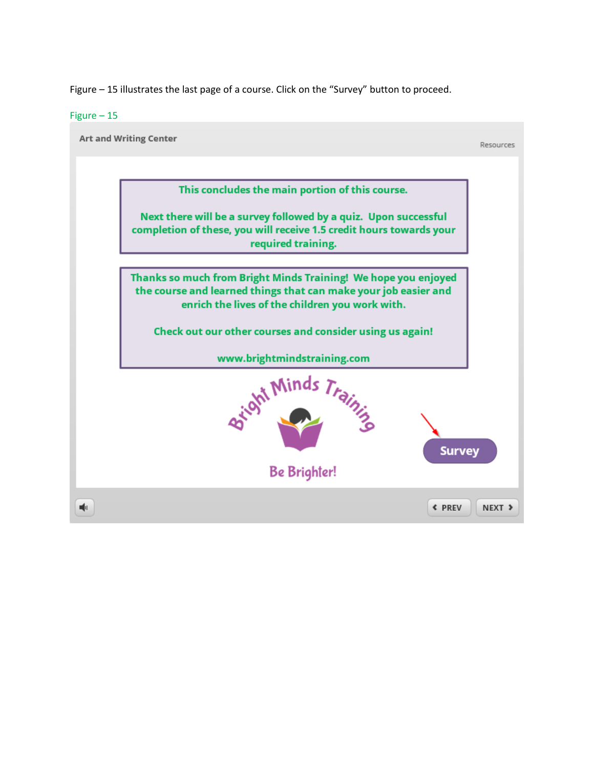Figure – 15 illustrates the last page of a course. Click on the "Survey" button to proceed.

### Figure – 15

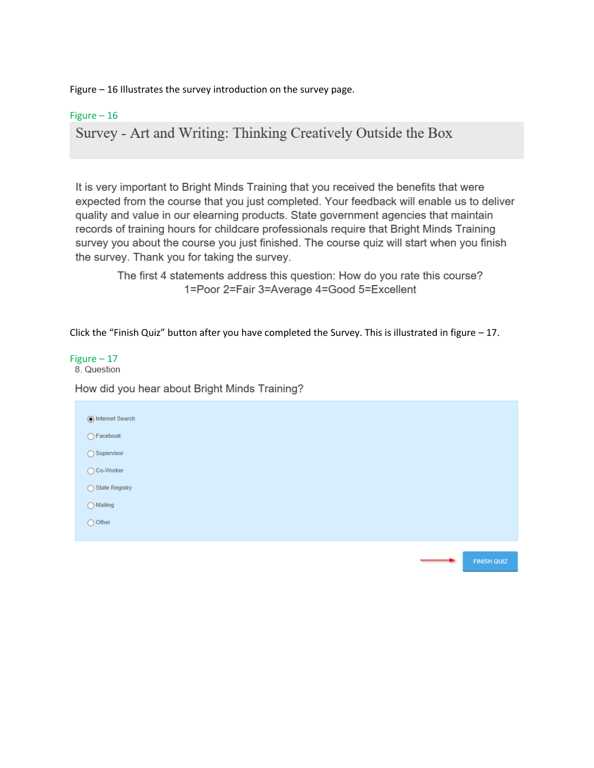Figure – 16 Illustrates the survey introduction on the survey page.

Figure – 16

Survey - Art and Writing: Thinking Creatively Outside the Box

It is very important to Bright Minds Training that you received the benefits that were expected from the course that you just completed. Your feedback will enable us to deliver quality and value in our elearning products. State government agencies that maintain records of training hours for childcare professionals require that Bright Minds Training survey you about the course you just finished. The course quiz will start when you finish the survey. Thank you for taking the survey.

The first 4 statements address this question: How do you rate this course? 1=Poor 2=Fair 3=Average 4=Good 5=Excellent

Click the "Finish Quiz" button after you have completed the Survey. This is illustrated in figure – 17.

Figure  $-17$ <br>8. Question

How did you hear about Bright Minds Training?

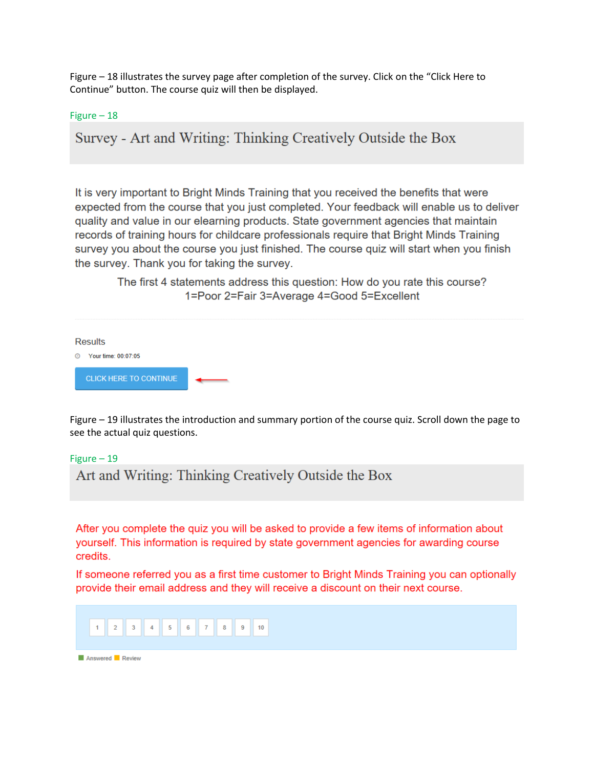Figure – 18 illustrates the survey page after completion of the survey. Click on the "Click Here to Continue" button. The course quiz will then be displayed.

Figure – 18

Survey - Art and Writing: Thinking Creatively Outside the Box

It is very important to Bright Minds Training that you received the benefits that were expected from the course that you just completed. Your feedback will enable us to deliver quality and value in our elearning products. State government agencies that maintain records of training hours for childcare professionals require that Bright Minds Training survey you about the course you just finished. The course quiz will start when you finish the survey. Thank you for taking the survey.

The first 4 statements address this question: How do you rate this course? 1=Poor 2=Fair 3=Average 4=Good 5=Excellent

**Results** ◎ Your time: 00:07:05 **CLICK HERE TO CONTINUE** 

Figure – 19 illustrates the introduction and summary portion of the course quiz. Scroll down the page to see the actual quiz questions.

Figure – 19

Art and Writing: Thinking Creatively Outside the Box

After you complete the quiz you will be asked to provide a few items of information about yourself. This information is required by state government agencies for awarding course credits.

If someone referred you as a first time customer to Bright Minds Training you can optionally provide their email address and they will receive a discount on their next course.

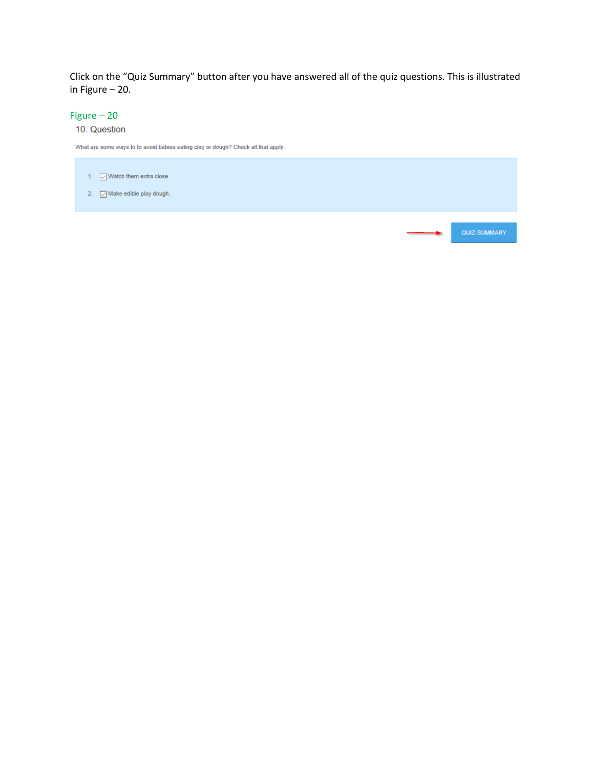Click on the "Quiz Summary" button after you have answered all of the quiz questions. This is illustrated in Figure – 20.

### Figure – 20

### 10. Question

What are some ways to to avoid babies eating clay or dough? Check all that apply.

- 1.  $\vee$  Watch them extra close.
- 2.  $\Box$  Make edible play dough.

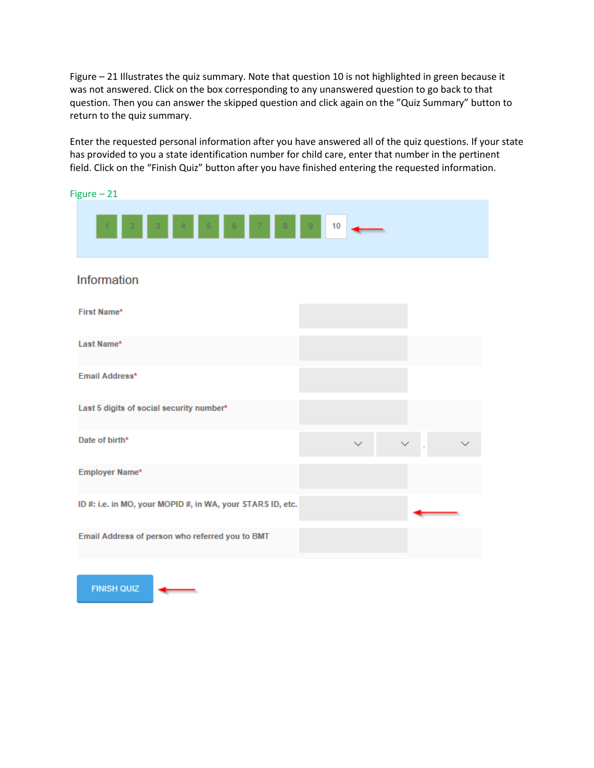Figure – 21 Illustrates the quiz summary. Note that question 10 is not highlighted in green because it was not answered. Click on the box corresponding to any unanswered question to go back to that question. Then you can answer the skipped question and click again on the "Quiz Summary" button to return to the quiz summary.

Enter the requested personal information after you have answered all of the quiz questions. If your state has provided to you a state identification number for child care, enter that number in the pertinent field. Click on the "Finish Quiz" button after you have finished entering the requested information.



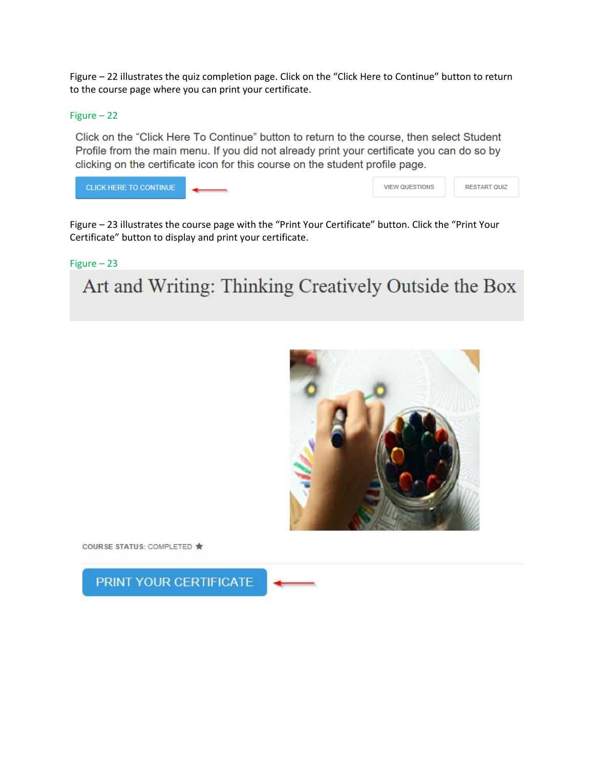Figure – 22 illustrates the quiz completion page. Click on the "Click Here to Continue" button to return to the course page where you can print your certificate.

### Figure – 22

Click on the "Click Here To Continue" button to return to the course, then select Student Profile from the main menu. If you did not already print your certificate you can do so by clicking on the certificate icon for this course on the student profile page.

| CLICK HERE TO CONTINUE | <b>VIEW QUESTIONS</b> | <b>RESTART QUIZ</b> |
|------------------------|-----------------------|---------------------|
|                        |                       |                     |

Figure – 23 illustrates the course page with the "Print Your Certificate" button. Click the "Print Your Certificate" button to display and print your certificate.

### Figure – 23

Art and Writing: Thinking Creatively Outside the Box



COURSE STATUS: COMPLETED \*

PRINT YOUR CERTIFICATE